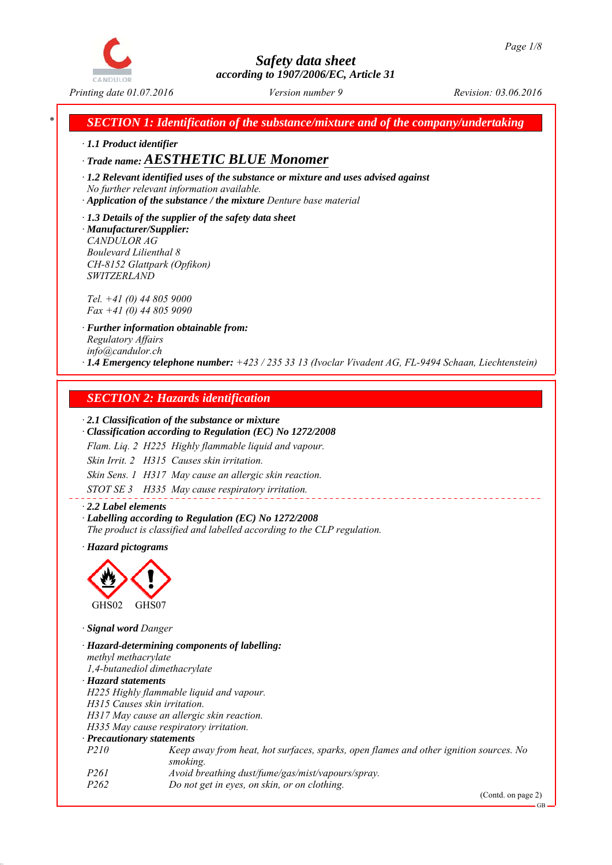

*\* SECTION 1: Identification of the substance/mixture and of the company/undertaking*

*∙ 1.1 Product identifier*

## *∙ Trade name: AESTHETIC BLUE Monomer*

*∙ 1.2 Relevant identified uses of the substance or mixture and uses advised against No further relevant information available.*

*∙ Application of the substance / the mixture Denture base material*

*∙ 1.3 Details of the supplier of the safety data sheet ∙ Manufacturer/Supplier: CANDULOR AG Boulevard Lilienthal 8 CH-8152 Glattpark (Opfikon) SWITZERLAND*

*Tel. +41 (0) 44 805 9000 Fax +41 (0) 44 805 9090*

*∙ Further information obtainable from: Regulatory Affairs info@candulor.ch ∙ 1.4 Emergency telephone number: +423 / 235 33 13 (Ivoclar Vivadent AG, FL-9494 Schaan, Liechtenstein)*

## *SECTION 2: Hazards identification*

#### *∙ 2.1 Classification of the substance or mixture*

*∙ Classification according to Regulation (EC) No 1272/2008*

*Flam. Liq. 2 H225 Highly flammable liquid and vapour.*

*Skin Irrit. 2 H315 Causes skin irritation.*

*Skin Sens. 1 H317 May cause an allergic skin reaction.*

*STOT SE 3 H335 May cause respiratory irritation.*

*∙ 2.2 Label elements ∙ Labelling according to Regulation (EC) No 1272/2008 The product is classified and labelled according to the CLP regulation.*

*∙ Hazard pictograms*



*∙ Signal word Danger*

*∙ Hazard-determining components of labelling: methyl methacrylate 1,4-butanediol dimethacrylate ∙ Hazard statements H225 Highly flammable liquid and vapour. H315 Causes skin irritation. H317 May cause an allergic skin reaction. H335 May cause respiratory irritation. ∙ Precautionary statements P210 Keep away from heat, hot surfaces, sparks, open flames and other ignition sources. No smoking. P261 Avoid breathing dust/fume/gas/mist/vapours/spray. P262 Do not get in eyes, on skin, or on clothing.*

(Contd. on page 2)

GB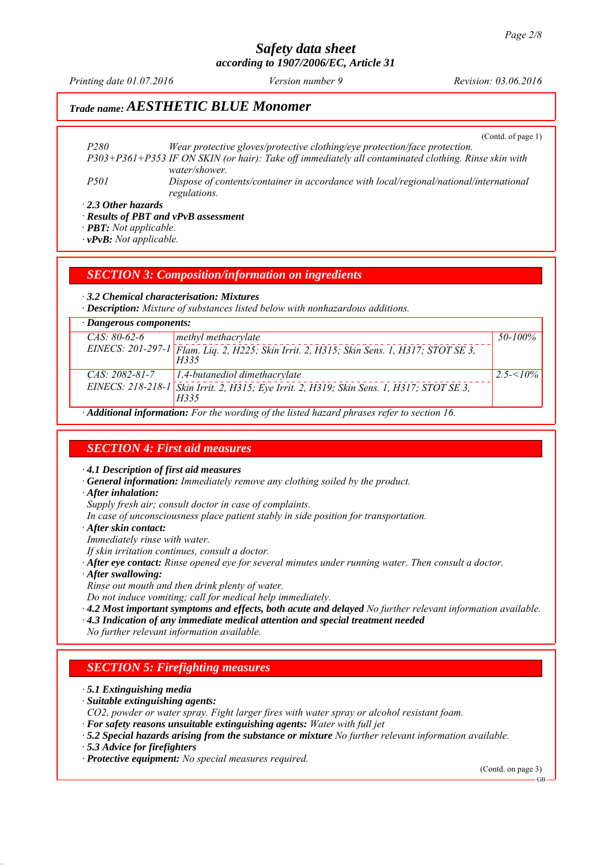*Printing date 01.07.2016 Revision: 03.06.2016 Version number 9*

## *Trade name: AESTHETIC BLUE Monomer*

(Contd. of page 1)

*P280 Wear protective gloves/protective clothing/eye protection/face protection. P303+P361+P353 IF ON SKIN (or hair): Take off immediately all contaminated clothing. Rinse skin with water/shower. P501 Dispose of contents/container in accordance with local/regional/national/international regulations.*

*∙ 2.3 Other hazards*

*∙ Results of PBT and vPvB assessment*

*∙ PBT: Not applicable.*

*∙ vPvB: Not applicable.*

*SECTION 3: Composition/information on ingredients*

*∙ 3.2 Chemical characterisation: Mixtures*

*∙ Description: Mixture of substances listed below with nonhazardous additions.*

| $\cdot$ Dangerous components: |                                                                                                   |              |  |  |
|-------------------------------|---------------------------------------------------------------------------------------------------|--------------|--|--|
| $CAS: 80-62-6$                | methyl methacrylate                                                                               | 50-100%      |  |  |
|                               | EINECS: 201-297-1 Flam. Lig. 2, H225; Skin Irrit. 2, H315; Skin Sens. 1, H317; STOT SE 3,<br>H335 |              |  |  |
| $CAS: 2082-81-7$              | $\vert$ 1,4-butanediol dimethacrylate                                                             | $2.5 < 10\%$ |  |  |
|                               | EINECS: 218-218-1 Skin Irrit. 2, H315; Eye Irrit. 2, H319; Skin Sens. 1, H317; STOT SE 3,<br>H335 |              |  |  |
|                               | 111. 1. C C P J CJ I II II C C 1                                                                  |              |  |  |

*∙ Additional information: For the wording of the listed hazard phrases refer to section 16.*

#### *SECTION 4: First aid measures*

*∙ 4.1 Description of first aid measures*

*∙ General information: Immediately remove any clothing soiled by the product.*

*∙ After inhalation:*

*Supply fresh air; consult doctor in case of complaints.*

*In case of unconsciousness place patient stably in side position for transportation.*

*∙ After skin contact:*

*Immediately rinse with water.*

*If skin irritation continues, consult a doctor.*

- *∙ After eye contact: Rinse opened eye for several minutes under running water. Then consult a doctor.*
- *∙ After swallowing:*

*Rinse out mouth and then drink plenty of water.*

*Do not induce vomiting; call for medical help immediately.*

*∙ 4.2 Most important symptoms and effects, both acute and delayed No further relevant information available.*

*∙ 4.3 Indication of any immediate medical attention and special treatment needed*

*No further relevant information available.*

#### *SECTION 5: Firefighting measures*

*∙ 5.1 Extinguishing media*

*∙ Suitable extinguishing agents:*

*CO2, powder or water spray. Fight larger fires with water spray or alcohol resistant foam.*

*∙ For safety reasons unsuitable extinguishing agents: Water with full jet*

*∙ 5.2 Special hazards arising from the substance or mixture No further relevant information available.*

*∙ 5.3 Advice for firefighters*

*∙ Protective equipment: No special measures required.*

(Contd. on page 3)

GB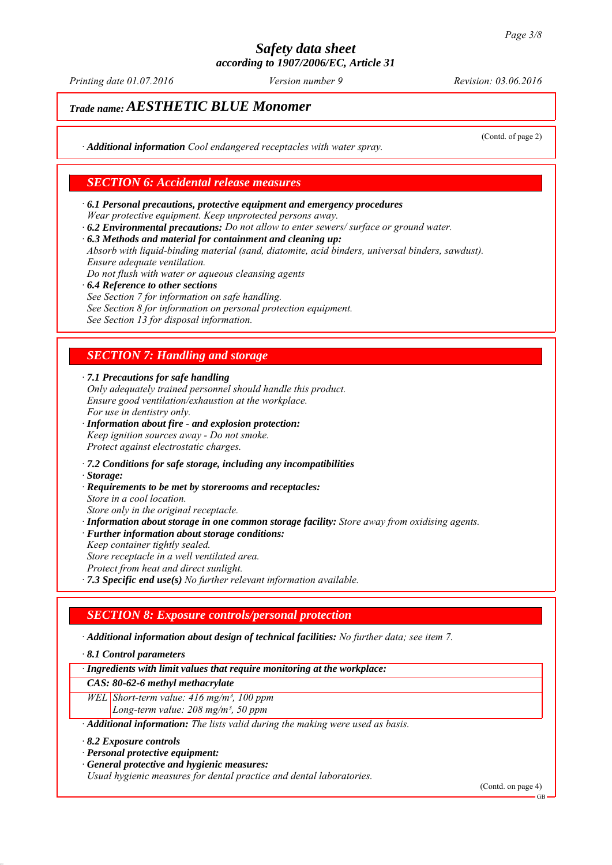*Printing date 01.07.2016 Revision: 03.06.2016 Version number 9*

(Contd. of page 2)

## *Trade name: AESTHETIC BLUE Monomer*

*∙ Additional information Cool endangered receptacles with water spray.*

#### *SECTION 6: Accidental release measures*

- *∙ 6.1 Personal precautions, protective equipment and emergency procedures Wear protective equipment. Keep unprotected persons away.*
- *∙ 6.2 Environmental precautions: Do not allow to enter sewers/ surface or ground water.*
- *∙ 6.3 Methods and material for containment and cleaning up:*

*Absorb with liquid-binding material (sand, diatomite, acid binders, universal binders, sawdust). Ensure adequate ventilation.*

- *Do not flush with water or aqueous cleansing agents*
- *∙ 6.4 Reference to other sections See Section 7 for information on safe handling. See Section 8 for information on personal protection equipment. See Section 13 for disposal information.*

### *SECTION 7: Handling and storage*

*∙ 7.1 Precautions for safe handling*

- *Only adequately trained personnel should handle this product. Ensure good ventilation/exhaustion at the workplace. For use in dentistry only.*
- *∙ Information about fire and explosion protection: Keep ignition sources away - Do not smoke. Protect against electrostatic charges.*
- *∙ 7.2 Conditions for safe storage, including any incompatibilities*
- *∙ Storage:*
- *∙ Requirements to be met by storerooms and receptacles:*
- *Store in a cool location.*
- *Store only in the original receptacle. ∙ Information about storage in one common storage facility: Store away from oxidising agents.*
- *∙ Further information about storage conditions:*
- *Keep container tightly sealed. Store receptacle in a well ventilated area.*
- *Protect from heat and direct sunlight.*
- *∙ 7.3 Specific end use(s) No further relevant information available.*

#### *SECTION 8: Exposure controls/personal protection*

*∙ Additional information about design of technical facilities: No further data; see item 7.*

*∙ 8.1 Control parameters*

*∙ Ingredients with limit values that require monitoring at the workplace:*

#### *CAS: 80-62-6 methyl methacrylate*

- *WEL Short-term value: 416 mg/m³, 100 ppm*
	- *Long-term value: 208 mg/m³, 50 ppm*
- *∙ Additional information: The lists valid during the making were used as basis.*
- *∙ 8.2 Exposure controls*
- *∙ Personal protective equipment:*
- *∙ General protective and hygienic measures:*

*Usual hygienic measures for dental practice and dental laboratories.*

(Contd. on page 4)

GB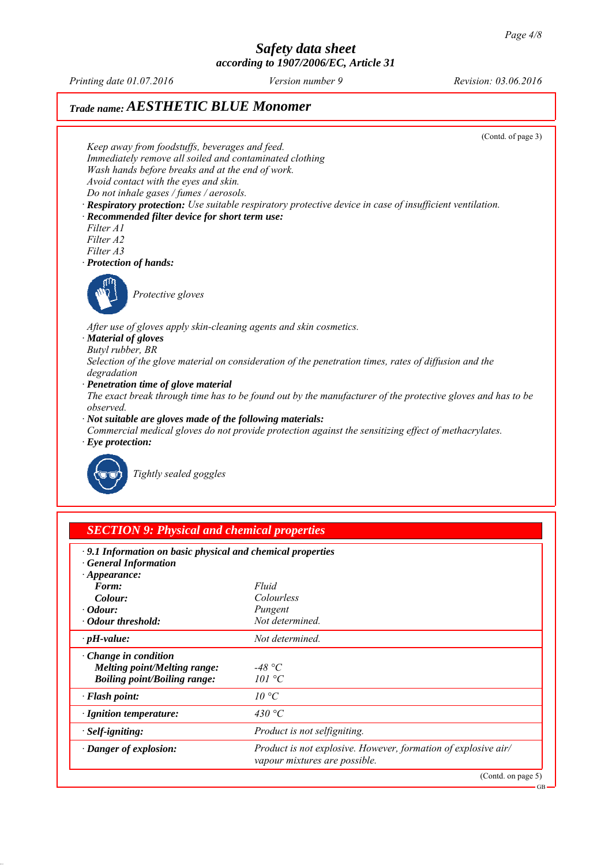*Printing date 01.07.2016 Revision: 03.06.2016 Version number 9*

# *Trade name: AESTHETIC BLUE Monomer*



| $\cdot$ 9.1 Information on basic physical and chemical properties<br><b>General Information</b> |                                                                                                 |
|-------------------------------------------------------------------------------------------------|-------------------------------------------------------------------------------------------------|
| $\cdot$ Appearance:                                                                             |                                                                                                 |
| Form:                                                                                           | Fluid                                                                                           |
| Colour:                                                                                         | Colourless                                                                                      |
| $\cdot$ Odour:                                                                                  | Pungent                                                                                         |
| · Odour threshold:                                                                              | Not determined.                                                                                 |
| $\cdot$ pH-value:                                                                               | Not determined.                                                                                 |
| $\cdot$ Change in condition                                                                     |                                                                                                 |
| <b>Melting point/Melting range:</b>                                                             | -48 °C                                                                                          |
| <b>Boiling point/Boiling range:</b>                                                             | 101 °C                                                                                          |
| $\cdot$ Flash point:                                                                            | $10^{\circ}C$                                                                                   |
| $\cdot$ Ignition temperature:                                                                   | 430 °C                                                                                          |
| $\cdot$ Self-igniting:                                                                          | Product is not selfigniting.                                                                    |
| · Danger of explosion:                                                                          | Product is not explosive. However, formation of explosive air/<br>vapour mixtures are possible. |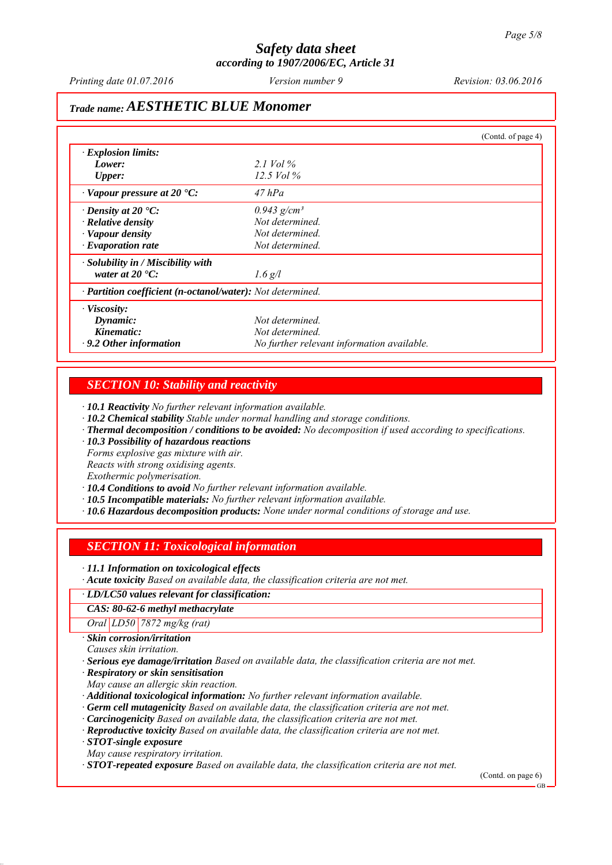*Printing date 01.07.2016 Revision: 03.06.2016 Version number 9*

## *Trade name: AESTHETIC BLUE Monomer*

|                                                            |                                            | (Contd. of page 4) |
|------------------------------------------------------------|--------------------------------------------|--------------------|
| $\cdot$ Explosion limits:                                  |                                            |                    |
| Lower:                                                     | 2.1 Vol $\%$                               |                    |
| <b>Upper:</b>                                              | $12.5$ Vol $\%$                            |                    |
| $\cdot$ Vapour pressure at 20 $\cdot$ C:                   | $47$ hPa                                   |                    |
| $\cdot$ Density at 20 $\cdot$ C:                           | $0.943$ g/cm <sup>3</sup>                  |                    |
| $\cdot$ Relative density                                   | Not determined.                            |                    |
| · Vapour density                                           | Not determined.                            |                    |
| $\cdot$ Evaporation rate                                   | Not determined.                            |                    |
| $\cdot$ Solubility in / Miscibility with                   |                                            |                    |
| water at $20 \degree C$ :                                  | $1.6$ g/l                                  |                    |
| · Partition coefficient (n-octanol/water): Not determined. |                                            |                    |
| $\cdot$ Viscosity:                                         |                                            |                    |
| Dynamic:                                                   | Not determined.                            |                    |
| Kinematic:                                                 | Not determined.                            |                    |
| $\cdot$ 9.2 Other information                              | No further relevant information available. |                    |

#### *SECTION 10: Stability and reactivity*

*∙ 10.1 Reactivity No further relevant information available.*

- *∙ 10.2 Chemical stability Stable under normal handling and storage conditions.*
- *∙ Thermal decomposition / conditions to be avoided: No decomposition if used according to specifications.*
- *∙ 10.3 Possibility of hazardous reactions*

*Forms explosive gas mixture with air.*

*Reacts with strong oxidising agents.*

*Exothermic polymerisation.*

*∙ 10.4 Conditions to avoid No further relevant information available.*

- *∙ 10.5 Incompatible materials: No further relevant information available.*
- *∙ 10.6 Hazardous decomposition products: None under normal conditions of storage and use.*

#### *SECTION 11: Toxicological information*

*∙ 11.1 Information on toxicological effects*

*∙ Acute toxicity Based on available data, the classification criteria are not met.*

#### *∙ LD/LC50 values relevant for classification:*

*CAS: 80-62-6 methyl methacrylate*

*Oral LD50 7872 mg/kg (rat)*

*∙ Skin corrosion/irritation*

*Causes skin irritation.*

*∙ Serious eye damage/irritation Based on available data, the classification criteria are not met.*

*∙ Respiratory or skin sensitisation*

*May cause an allergic skin reaction.*

*∙ Additional toxicological information: No further relevant information available.*

- *∙ Germ cell mutagenicity Based on available data, the classification criteria are not met.*
- *∙ Carcinogenicity Based on available data, the classification criteria are not met.*
- *∙ Reproductive toxicity Based on available data, the classification criteria are not met.*

*∙ STOT-single exposure*

*May cause respiratory irritation.*

*∙ STOT-repeated exposure Based on available data, the classification criteria are not met.*

(Contd. on page 6)

GB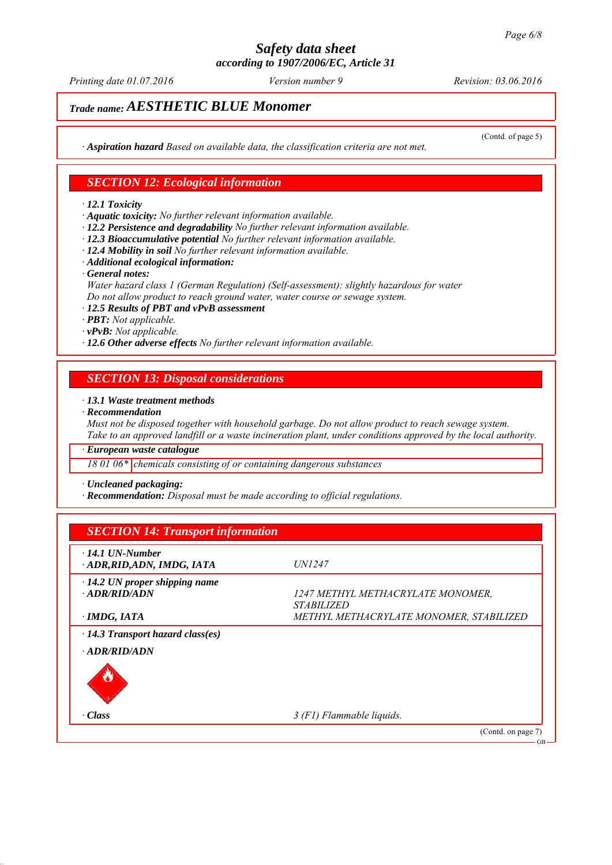*Printing date 01.07.2016 Revision: 03.06.2016 Version number 9*

(Contd. of page 5)

# *Trade name: AESTHETIC BLUE Monomer*

*∙ Aspiration hazard Based on available data, the classification criteria are not met.*

#### *SECTION 12: Ecological information*

*∙ 12.1 Toxicity*

*∙ Aquatic toxicity: No further relevant information available.*

- *∙ 12.2 Persistence and degradability No further relevant information available.*
- *∙ 12.3 Bioaccumulative potential No further relevant information available.*
- *∙ 12.4 Mobility in soil No further relevant information available.*
- *∙ Additional ecological information:*
- *∙ General notes:*

*Water hazard class 1 (German Regulation) (Self-assessment): slightly hazardous for water Do not allow product to reach ground water, water course or sewage system.*

*∙ 12.5 Results of PBT and vPvB assessment*

*∙ PBT: Not applicable.*

*∙ vPvB: Not applicable.*

*∙ 12.6 Other adverse effects No further relevant information available.*

#### *SECTION 13: Disposal considerations*

#### *∙ 13.1 Waste treatment methods*

*∙ Recommendation*

*Must not be disposed together with household garbage. Do not allow product to reach sewage system. Take to an approved landfill or a waste incineration plant, under conditions approved by the local authority.*

*∙ European waste catalogue*

*18 01 06\* chemicals consisting of or containing dangerous substances*

*∙ Uncleaned packaging:*

*∙ Recommendation: Disposal must be made according to official regulations.*

| $\cdot$ 14.1 UN-Number<br>ADR, RID, ADN, IMDG, IATA | <i>UN1247</i>                           |
|-----------------------------------------------------|-----------------------------------------|
| $\cdot$ 14.2 UN proper shipping name                |                                         |
| $-ADR/RID/ADN$                                      | 1247 METHYL METHACRYLATE MONOMER,       |
|                                                     | <i><b>STABILIZED</b></i>                |
| · IMDG, IATA                                        | METHYL METHACRYLATE MONOMER, STABILIZED |
| $\cdot$ 14.3 Transport hazard class(es)             |                                         |
| · ADR/RID/ADN                                       |                                         |
|                                                     |                                         |
| · Class                                             | 3 (F1) Flammable liquids.               |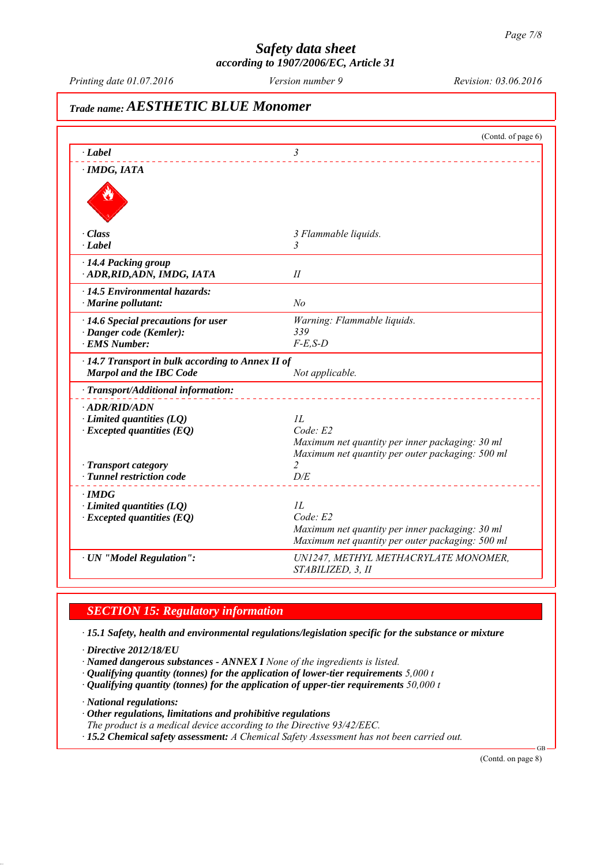*Printing date 01.07.2016 Revision: 03.06.2016 Version number 9*

# *Trade name: AESTHETIC BLUE Monomer* (Contd. of page 6) *∙ Label 3 ∙ IMDG, IATA ∙ Class 3 Flammable liquids. ∙ Label 3 ∙ 14.4 Packing group ∙ ADR,RID,ADN, IMDG, IATA II ∙ 14.5 Environmental hazards: ∙ Marine pollutant: No ∙ 14.6 Special precautions for user Warning: Flammable liquids. ∙ Danger code (Kemler): 339 ∙ EMS Number: F-E,S-D ∙ 14.7 Transport in bulk according to Annex II of Marpol and the IBC Code Not applicable. ∙ Transport/Additional information: ∙ ADR/RID/ADN ∂ Limited quantities (LQ) 1L*<br>*∙ Excepted quantities (EQ) Code E2 ∗ Excepted quantities (EQ) Maximum net quantity per inner packaging: 30 ml Maximum net quantity per outer packaging: 500 ml −* **Transport category 2**<br>*−* **Tunnel restriction code** *D/E ∤ <i>Tunnel restriction code ∙ IMDG ∙ Limited quantities (LQ) 1L ∙ Excepted quantities (EQ) Code: E2 Maximum net quantity per inner packaging: 30 ml Maximum net quantity per outer packaging: 500 ml ∙ UN "Model Regulation": UN1247, METHYL METHACRYLATE MONOMER, STABILIZED, 3, II*

## *SECTION 15: Regulatory information*

*∙ 15.1 Safety, health and environmental regulations/legislation specific for the substance or mixture*

*∙ Directive 2012/18/EU*

*∙ Named dangerous substances - ANNEX I None of the ingredients is listed.*

*∙ Qualifying quantity (tonnes) for the application of lower-tier requirements 5,000 t*

*∙ Qualifying quantity (tonnes) for the application of upper-tier requirements 50,000 t*

*∙ National regulations:*

*∙ Other regulations, limitations and prohibitive regulations*

*The product is a medical device according to the Directive 93/42/EEC.*

*∙ 15.2 Chemical safety assessment: A Chemical Safety Assessment has not been carried out.*

(Contd. on page 8)

GB